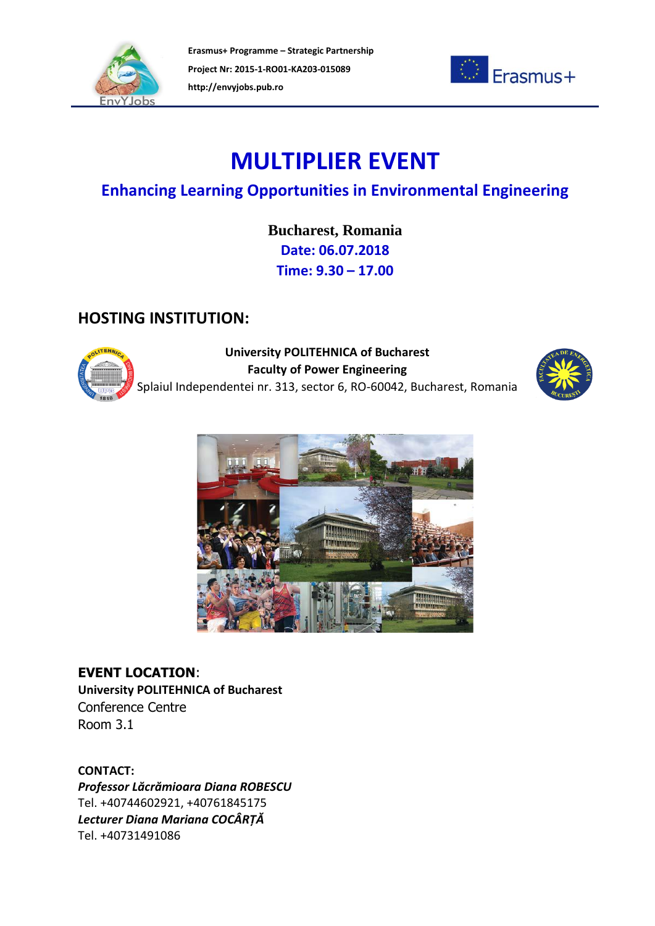



# **MULTIPLIER EVENT**

### **Enhancing Learning Opportunities in Environmental Engineering**

**Bucharest, Romania Date: 06.07.2018 Time: 9.30 – 17.00**

### **HOSTING INSTITUTION:**



**University POLITEHNICA of Bucharest Faculty of Power Engineering** Splaiul Independentei nr. 313, sector 6, RO-60042, Bucharest, Romania





**EVENT LOCATION**: **University POLITEHNICA of Bucharest** Conference Centre Room 3.1

**CONTACT:** *Professor Lăcrămioara Diana ROBESCU* Tel. +40744602921, +40761845175 *Lecturer Diana Mariana COCÂRȚĂ* Tel. +40731491086